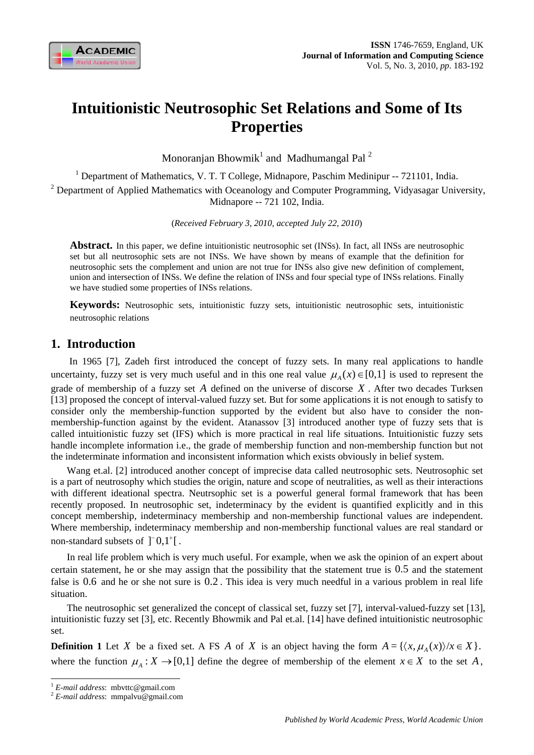

# **Intuitionistic Neutrosophic Set Relations and Some of Its Properties**

Monoranjan Bhowmik<sup>1</sup> and Madhumangal Pal<sup>2</sup>

<sup>1</sup> Department of Mathematics, V. T. T College, Midnapore, Paschim Medinipur -- 721101, India. <sup>2</sup> Department of Applied Mathematics with Oceanology and Computer Programming, Vidyasagar University, Midnapore -- 721 102, India.

(*Received February 3, 2010, accepted July 22, 2010*)

**Abstract.** In this paper, we define intuitionistic neutrosophic set (INSs). In fact, all INSs are neutrosophic set but all neutrosophic sets are not INSs. We have shown by means of example that the definition for neutrosophic sets the complement and union are not true for INSs also give new definition of complement, union and intersection of INSs. We define the relation of INSs and four special type of INSs relations. Finally we have studied some properties of INSs relations.

**Keywords:** Neutrosophic sets, intuitionistic fuzzy sets, intuitionistic neutrosophic sets, intuitionistic neutrosophic relations

## **1. Introduction**

 In 1965 [7], Zadeh first introduced the concept of fuzzy sets. In many real applications to handle uncertainty, fuzzy set is very much useful and in this one real value  $\mu_A(x) \in [0,1]$  is used to represent the grade of membership of a fuzzy set *A* defined on the universe of discorse *X* . After two decades Turksen [13] proposed the concept of interval-valued fuzzy set. But for some applications it is not enough to satisfy to consider only the membership-function supported by the evident but also have to consider the nonmembership-function against by the evident. Atanassov [3] introduced another type of fuzzy sets that is called intuitionistic fuzzy set (IFS) which is more practical in real life situations. Intuitionistic fuzzy sets handle incomplete information i.e., the grade of membership function and non-membership function but not the indeterminate information and inconsistent information which exists obviously in belief system.

Wang et.al. [2] introduced another concept of imprecise data called neutrosophic sets. Neutrosophic set is a part of neutrosophy which studies the origin, nature and scope of neutralities, as well as their interactions with different ideational spectra. Neutrsophic set is a powerful general formal framework that has been recently proposed. In neutrosophic set, indeterminacy by the evident is quantified explicitly and in this concept membership, indeterminacy membership and non-membership functional values are independent. Where membership, indeterminacy membership and non-membership functional values are real standard or non-standard subsets of  $\lceil 0,1^{\dagger} \rceil$ .

In real life problem which is very much useful. For example, when we ask the opinion of an expert about certain statement, he or she may assign that the possibility that the statement true is 0.5 and the statement false is 0.6 and he or she not sure is 0.2 . This idea is very much needful in a various problem in real life situation.

The neutrosophic set generalized the concept of classical set, fuzzy set [7], interval-valued-fuzzy set [13], intuitionistic fuzzy set [3], etc. Recently Bhowmik and Pal et.al. [14] have defined intuitionistic neutrosophic set.

**Definition 1** Let *X* be a fixed set. A FS *A* of *X* is an object having the form  $A = \{ \langle x, \mu_A(x) \rangle / x \in X \}$ . where the function  $\mu_A : X \to [0,1]$  define the degree of membership of the element  $x \in X$  to the set *A*,

 $\overline{a}$ 

<sup>1</sup> *E-mail address*: mbvttc@gmail.com 2 *E-mail address*: mmpalvu@gmail.com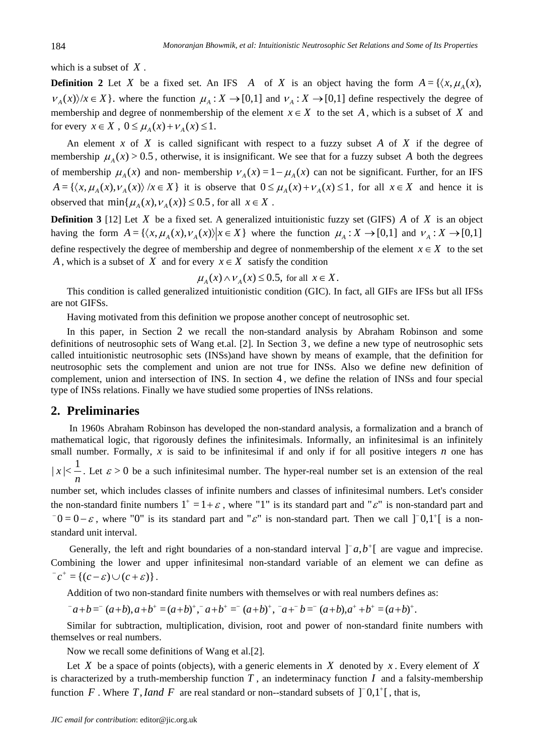which is a subset of *X* .

**Definition 2** Let *X* be a fixed set. An IFS *A* of *X* is an object having the form  $A = \{ \langle x, \mu_A(x), \mu_B(x), \dots \rangle\}$  $V_A(x)/x \in X$ . where the function  $\mu_A : X \to [0,1]$  and  $V_A : X \to [0,1]$  define respectively the degree of membership and degree of nonmembership of the element  $x \in X$  to the set *A*, which is a subset of *X* and for every  $x \in X$ ,  $0 \leq \mu_A(x) + \nu_A(x) \leq 1$ .

An element *x* of *X* is called significant with respect to a fuzzy subset *A* of *X* if the degree of membership  $\mu_A(x) > 0.5$ , otherwise, it is insignificant. We see that for a fuzzy subset *A* both the degrees of membership  $\mu_A(x)$  and non- membership  $v_A(x) = 1 - \mu_A(x)$  can not be significant. Further, for an IFS  $A = \{ \langle x, \mu_A(x), \nu_A(x) \rangle \mid x \in X \}$  it is observe that  $0 \le \mu_A(x) + \nu_A(x) \le 1$ , for all  $x \in X$  and hence it is observed that  $min\{\mu_A(x), \nu_A(x)\} \le 0.5$ , for all  $x \in X$ .

**Definition 3** [12] Let *X* be a fixed set. A generalized intuitionistic fuzzy set (GIFS) *A* of *X* is an object having the form  $A = \{ \langle x, \mu_A(x), \nu_A(x) \rangle | x \in X \}$  where the function  $\mu_A : X \to [0,1]$  and  $\nu_A : X \to [0,1]$ define respectively the degree of membership and degree of nonmembership of the element  $x \in X$  to the set *A*, which is a subset of *X* and for every  $x \in X$  satisfy the condition

$$
\mu_A(x) \wedge \nu_A(x) \le 0.5
$$
, for all  $x \in X$ .

This condition is called generalized intuitionistic condition (GIC). In fact, all GIFs are IFSs but all IFSs are not GIFSs.

Having motivated from this definition we propose another concept of neutrosophic set.

In this paper, in Section 2 we recall the non-standard analysis by Abraham Robinson and some definitions of neutrosophic sets of Wang et.al. [2]. In Section 3 , we define a new type of neutrosophic sets called intuitionistic neutrosophic sets (INSs)and have shown by means of example, that the definition for neutrosophic sets the complement and union are not true for INSs. Also we define new definition of complement, union and intersection of INS. In section 4 , we define the relation of INSs and four special type of INSs relations. Finally we have studied some properties of INSs relations.

#### **2. Preliminaries**

 In 1960s Abraham Robinson has developed the non-standard analysis, a formalization and a branch of mathematical logic, that rigorously defines the infinitesimals. Informally, an infinitesimal is an infinitely small number. Formally, *x* is said to be infinitesimal if and only if for all positive integers *n* one has *n*  $|x| < \frac{1}{2}$ . Let  $\varepsilon > 0$  be a such infinitesimal number. The hyper-real number set is an extension of the real number set, which includes classes of infinite numbers and classes of infinitesimal numbers. Let's consider the non-standard finite numbers  $1^+ = 1 + \varepsilon$ , where "1" is its standard part and " $\varepsilon$ " is non-standard part and  $0 = 0 - \varepsilon$ , where "0" is its standard part and " $\varepsilon$ " is non-standard part. Then we call  $]$  0,1<sup>+</sup>[ is a non-

standard unit interval.

Generally, the left and right boundaries of a non-standard interval  $[a, b^+]$  are vague and imprecise. Combining the lower and upper infinitesimal non-standard variable of an element we can define as  $^{-}c^{+} = \{(c - \varepsilon) \cup (c + \varepsilon)\}.$ 

Addition of two non-standard finite numbers with themselves or with real numbers defines as:

$$
a+b=(a+b), a+b^+=(a+b)^+, a+b^+= (a+b)^+, a+b^-= (a+b), a^++b^+= (a+b)^+.
$$

Similar for subtraction, multiplication, division, root and power of non-standard finite numbers with themselves or real numbers.

Now we recall some definitions of Wang et al.[2].

Let *X* be a space of points (objects), with a generic elements in *X* denoted by *x*. Every element of *X* is characterized by a truth-membership function  $T$ , an indeterminacy function  $I$  and a falsity-membership function F. Where T, *Iand* F are real standard or non-standard subsets of  $\lceil 0,1^{\dagger} \rceil$ , that is,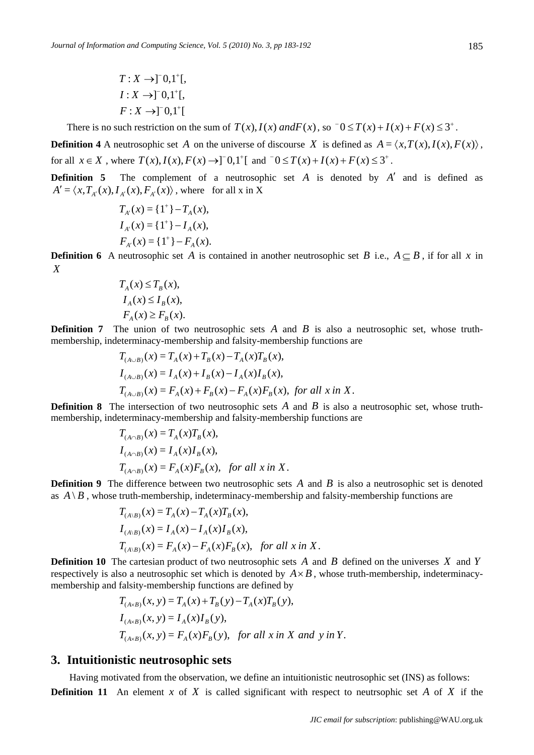$$
T: X \rightarrow ]^{\scriptscriptstyle\top} 0, 1^+[,
$$
  

$$
I: X \rightarrow ]^{\scriptscriptstyle\top} 0, 1^+[,
$$
  

$$
F: X \rightarrow ]^{\scriptscriptstyle\top} 0, 1^+[
$$

There is no such restriction on the sum of  $T(x)$ ,  $I(x)$  *and* $F(x)$ , so  $\bar{0} \leq T(x) + I(x) + F(x) \leq 3^+$ .

**Definition 4** A neutrosophic set *A* on the universe of discourse *X* is defined as  $A = \langle x, T(x), I(x), F(x) \rangle$ , for all  $x \in X$ , where  $T(x)$ ,  $I(x)$ ,  $F(x) \rightarrow 0$ ,  $T^{\dagger}$  and  $T^{\dagger} \circ T(x) + I(x) + F(x) \leq 3^{\dagger}$ .

**Definition 5** The complement of a neutrosophic set *A* is denoted by *A'* and is defined as  $A' = \langle x, T_{A'}(x), I_{A'}(x), F_{A'}(x) \rangle$ , where for all x in X

$$
T_{A'}(x) = \{1^+\} - T_A(x),
$$
  
\n
$$
I_{A'}(x) = \{1^+\} - I_A(x),
$$
  
\n
$$
F_{A'}(x) = \{1^+\} - F_A(x).
$$

**Definition 6** A neutrosophic set *A* is contained in another neutrosophic set *B* i.e.,  $A \subseteq B$ , if for all *x* in *X*

$$
T_A(x) \le T_B(x),
$$
  
\n
$$
I_A(x) \le I_B(x),
$$
  
\n
$$
F_A(x) \ge F_B(x).
$$

**Definition 7** The union of two neutrosophic sets *A* and *B* is also a neutrosophic set, whose truthmembership, indeterminacy-membership and falsity-membership functions are

$$
T_{(A\cup B)}(x) = T_A(x) + T_B(x) - T_A(x)T_B(x),
$$
  
\n
$$
I_{(A\cup B)}(x) = I_A(x) + I_B(x) - I_A(x)I_B(x),
$$
  
\n
$$
T_{(A\cup B)}(x) = F_A(x) + F_B(x) - F_A(x)F_B(x), \text{ for all } x \text{ in } X.
$$

**Definition 8** The intersection of two neutrosophic sets *A* and *B* is also a neutrosophic set, whose truthmembership, indeterminacy-membership and falsity-membership functions are

$$
T_{(A \cap B)}(x) = T_A(x)T_B(x),
$$
  
\n
$$
I_{(A \cap B)}(x) = I_A(x)I_B(x),
$$
  
\n
$$
T_{(A \cap B)}(x) = F_A(x)F_B(x), \text{ for all } x \text{ in } X.
$$

**Definition 9** The difference between two neutrosophic sets *A* and *B* is also a neutrosophic set is denoted as  $A \setminus B$ , whose truth-membership, indeterminacy-membership and falsity-membership functions are

$$
T_{(A \setminus B)}(x) = T_A(x) - T_A(x)T_B(x),
$$
  
\n
$$
I_{(A \setminus B)}(x) = I_A(x) - I_A(x)I_B(x),
$$
  
\n
$$
T_{(A \setminus B)}(x) = F_A(x) - F_A(x)F_B(x), \text{ for all } x \text{ in } X.
$$

**Definition 10** The cartesian product of two neutrosophic sets *A* and *B* defined on the universes *X* and *Y* respectively is also a neutrosophic set which is denoted by  $A \times B$ , whose truth-membership, indeterminacymembership and falsity-membership functions are defined by

$$
T_{(A \times B)}(x, y) = T_A(x) + T_B(y) - T_A(x)T_B(y),
$$
  
\n
$$
I_{(A \times B)}(x, y) = I_A(x)I_B(y),
$$
  
\n
$$
T_{(A \times B)}(x, y) = F_A(x)F_B(y), \text{ for all } x \text{ in } X \text{ and } y \text{ in } Y.
$$

#### **3. Intuitionistic neutrosophic sets**

 Having motivated from the observation, we define an intuitionistic neutrosophic set (INS) as follows: **Definition 11** An element *x* of *X* is called significant with respect to neutrsophic set *A* of *X* if the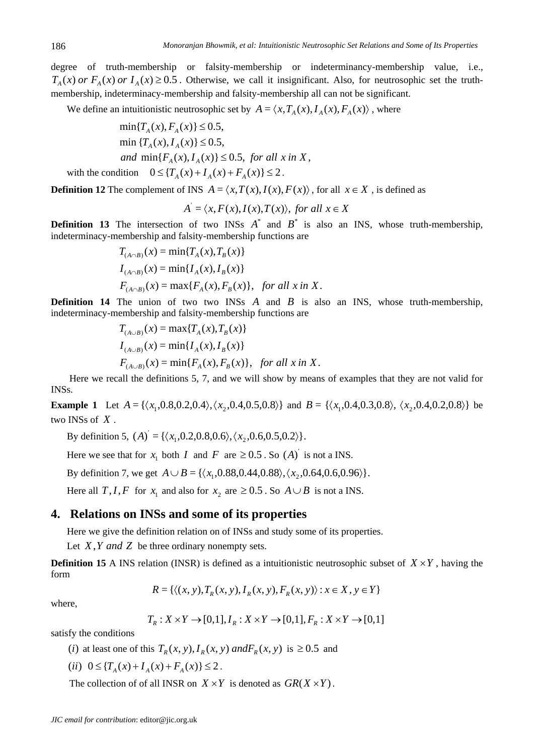degree of truth-membership or falsity-membership or indeterminancy-membership value, i.e.,  $T_A(x)$  *or*  $F_A(x)$  *or*  $I_A(x) \geq 0.5$ . Otherwise, we call it insignificant. Also, for neutrosophic set the truthmembership, indeterminacy-membership and falsity-membership all can not be significant.

We define an intuitionistic neutrosophic set by  $A = \langle x, T_A(x), I_A(x), F_A(x) \rangle$ , where

$$
\min\{T_A(x), F_A(x)\} \le 0.5,
$$
  
\n
$$
\min\{T_A(x), I_A(x)\} \le 0.5,
$$
  
\nand 
$$
\min\{F_A(x), I_A(x)\} \le 0.5, \text{ for all } x \text{ in } X,
$$
  
\nwith the condition 
$$
0 \le \{T_A(x) + I_A(x) + F_A(x)\} \le 2.
$$

**Definition 12** The complement of INS  $A = \langle x, T(x), I(x), F(x) \rangle$ , for all  $x \in X$ , is defined as

$$
A = \langle x, F(x), I(x), T(x) \rangle
$$
, for all  $x \in X$ 

**Definition 13** The intersection of two INSs  $A^*$  and  $B^*$  is also an INS, whose truth-membership, indeterminacy-membership and falsity-membership functions are

$$
T_{(A \cap B)}(x) = \min\{T_A(x), T_B(x)\}
$$
  
\n
$$
I_{(A \cap B)}(x) = \min\{I_A(x), I_B(x)\}
$$
  
\n
$$
F_{(A \cap B)}(x) = \max\{F_A(x), F_B(x)\}, \text{ for all } x \text{ in } X.
$$

**Definition 14** The union of two two INSs *A* and *B* is also an INS, whose truth-membership, indeterminacy-membership and falsity-membership functions are

$$
T_{(A\cup B)}(x) = \max\{T_A(x), T_B(x)\}
$$
  
\n
$$
I_{(A\cup B)}(x) = \min\{I_A(x), I_B(x)\}
$$
  
\n
$$
F_{(A\cup B)}(x) = \min\{F_A(x), F_B(x)\}, \text{ for all } x \text{ in } X.
$$

 Here we recall the definitions 5, 7, and we will show by means of examples that they are not valid for INSs.

**Example 1** Let  $A = \{ \langle x_1, 0.8, 0.2, 0.4 \rangle, \langle x_2, 0.4, 0.5, 0.8 \rangle \}$  and  $B = \{ \langle x_1, 0.4, 0.3, 0.8 \rangle, \langle x_2, 0.4, 0.2, 0.8 \rangle \}$  be two INSs of *X* .

By definition 5,  $(A) = \{ \langle x_1, 0.2, 0.8, 0.6 \rangle, \langle x_2, 0.6, 0.5, 0.2 \rangle \}.$ 

Here we see that for  $x_1$  both *I* and *F* are  $\geq 0.5$ . So  $(A)$  is not a INS.

By definition 7, we get  $A \cup B = \{ \langle x_1, 0.88, 0.44, 0.88 \rangle, \langle x_2, 0.64, 0.6, 0.96 \rangle \}.$ 

Here all *T*,*I*, *F* for  $x_1$  and also for  $x_2$  are  $\geq 0.5$ . So  $A \cup B$  is not a INS.

## **4. Relations on INSs and some of its properties**

Here we give the definition relation on of INSs and study some of its properties.

Let *X*,*Y and Z* be three ordinary nonempty sets.

**Definition 15** A INS relation (INSR) is defined as a intuitionistic neutrosophic subset of  $X \times Y$ , having the form

$$
R = \{ \langle (x, y), T_R(x, y), I_R(x, y), F_R(x, y) \rangle : x \in X, y \in Y \}
$$

where,

$$
T_R: X \times Y \to [0,1], I_R: X \times Y \to [0,1], F_R: X \times Y \to [0,1]
$$

satisfy the conditions

- (*i*) at least one of this  $T_R(x, y)$ ,  $I_R(x, y)$  *and* $F_R(x, y)$  is  $\geq 0.5$  and
- $(iii)$   $0 \leq {T_A(x) + T_A(x) + F_A(x)} \leq 2$ .

The collection of of all INSR on  $X \times Y$  is denoted as  $GR(X \times Y)$ .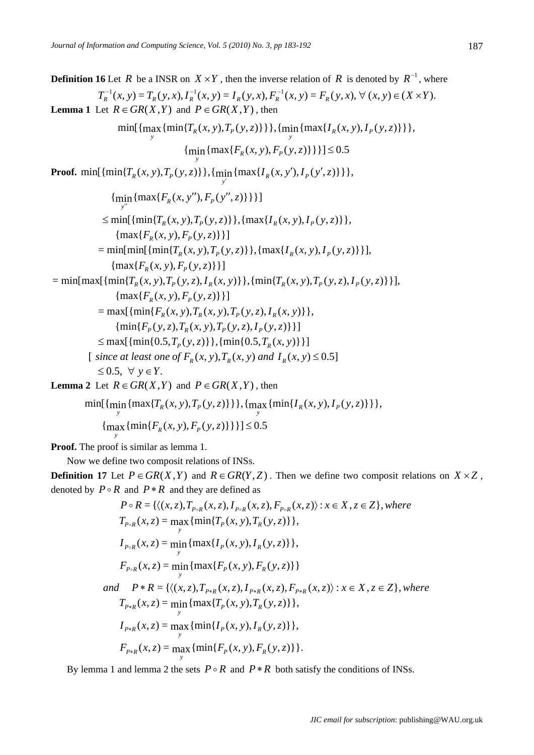187

**Definition 16** Let *R* be a INSR on  $X \times Y$ , then the inverse relation of *R* is denoted by  $R^{-1}$ , where  $T_R^{-1}(x, y) = T_R(y, x), I_R^{-1}(x, y) = I_R(y, x), F_R^{-1}(x, y) = F_R(y, x), \forall (x, y) \in (X \times Y).$ **Lemma 1** Let  $R \in \text{GR}(X, Y)$  and  $P \in \text{GR}(X, Y)$ , then  $\min_{y} \{ \max_{y} \{ \min \{ T_{R} (x, y), T_{P} (y, z) \} \} \}, \{ \min_{y} \{ \max \{ I_{R} (x, y), I_{P} (y, z) \} \} \},$  $\{\min_{y} \{\max\{F_R(x, y), F_P(y, z)\}\}\}\leq 0.5$ **Proof.** min $\{\min\{T_R(x, y), T_P(y, z)\}\}\$ ,  $\{\min_{y'}\{\max\{I_R(x, y'), I_P(y', z)\}\}\}$ ,  ${\min_{y''}} {\max\{F_R(x, y''), F_P(y'', z)\}}$  $\lim_{n}$  {max{ $F_R(x, y'')$ ,  $F_P(y''$  $\leq$  min[{min{*T<sub>R</sub>*(*x*, *y*),*T<sub>P</sub>*(*y*, *z*)}}, {max{*I<sub>R</sub>*(*x*, *y*), *I<sub>P</sub>*(*y*, *z*)}},  $\{\max\{F_{p}(x, y), F_{p}(y, z)\}\}\$  $=$  min $\{\min\{\frac{r_a(x, y), r_a(y, z)\}\}\$ ,  $\{\max\{I_a(x, y), I_a(y, z)\}\}\$ ,  $\{\max\{F_p(x, y), F_p(y, z)\}\}\$  $=\min\{\max[\{\min\{T_p(x, y), T_p(y, z), I_p(x, y)\}\}, \{\min\{T_p(x, y), T_p(y, z), I_p(y, z)\}\}],\}$  $\{ \max\{F_p(x, y), F_p(y, z)\}\}\$  $=$  max $\{\{\min\{F_p(x, y), T_p(x, y), T_p(y, z), I_p(x, y)\}\},$  ${\min\{F_p(y,z), T_p(x,y), T_p(y,z), I_p(y,z)\}}$  $\leq$  max[{min{0.5,*T<sub>p</sub>*(*y*, *z*)}},{min{0.5,*T<sub>p</sub>*(*x*, *y*)}}] [ *since at* least one of  $F_R(x, y)$ ,  $T_R(x, y)$  and  $I_R(x, y) \leq 0.5$ ]  $\leq 0.5$ ,  $\forall$   $v \in Y$ . **Lemma 2** Let  $R \in \text{GR}(X, Y)$  and  $P \in \text{GR}(X, Y)$ , then

 $\min_{y} \{ \max_{y} \{ T_{R}(x, y), T_{P}(y, z) \} \} \}, \{ \max_{y} \{ \min_{y} \{ I_{R}(x, y), I_{P}(y, z) \} \} \},$  $\{\max_{y} \{\min\{F_R(x, y), F_P(y, z)\}\}\}\geq 0.5$ 

**Proof.** The proof is similar as lemma 1.

Now we define two composit relations of INSs.

**Definition 17** Let  $P \in \text{GR}(X, Y)$  and  $R \in \text{GR}(Y, Z)$ . Then we define two composit relations on  $X \times Z$ , denoted by  $P \circ R$  and  $P * R$  and they are defined as

$$
P \circ R = \{ \langle (x, z), T_{P \circ R}(x, z), I_{P \circ R}(x, z), F_{P \circ R}(x, z) \rangle : x \in X, z \in Z \}, \text{where}
$$
\n
$$
T_{P \circ R}(x, z) = \max_{y} \{ \min \{ T_P(x, y), T_R(y, z) \} \},
$$
\n
$$
I_{P \circ R}(x, z) = \min_{y} \{ \max \{ I_P(x, y), I_R(y, z) \} \},
$$
\n
$$
F_{P \circ R}(x, z) = \min_{y} \{ \max \{ F_P(x, y), F_R(y, z) \} \}
$$
\nand\n
$$
P * R = \{ \langle (x, z), T_{P * R}(x, z), I_{P * R}(x, z), F_{P * R}(x, z) \rangle : x \in X, z \in Z \}, \text{where}
$$
\n
$$
T_{P * R}(x, z) = \min_{y} \{ \max \{ T_P(x, y), T_R(y, z) \} \},
$$
\n
$$
I_{P * R}(x, z) = \max_{y} \{ \min \{ I_P(x, y), I_R(y, z) \} \},
$$
\n
$$
F_{P * R}(x, z) = \max_{y} \{ \min \{ F_P(x, y), F_R(y, z) \} \}.
$$

By lemma 1 and lemma 2 the sets  $P \circ R$  and  $P * R$  both satisfy the conditions of INSs.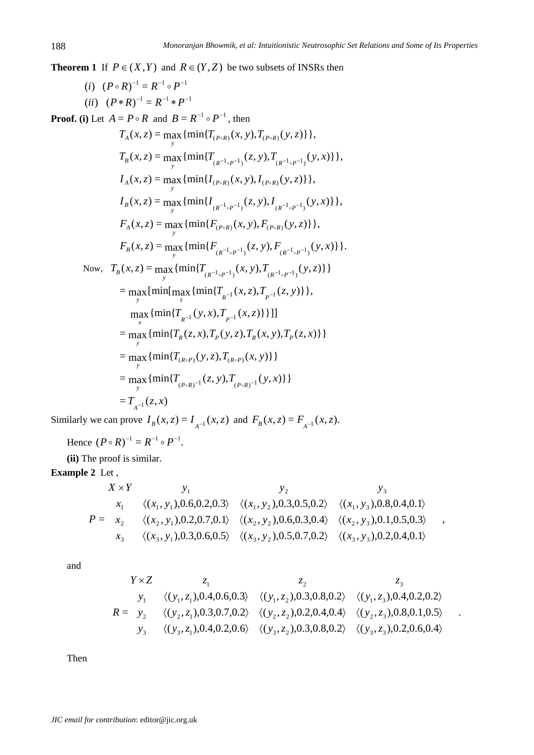**Theorem 1** If  $P \in (X, Y)$  and  $R \in (Y, Z)$  be two subsets of INSRs then

(*i*)  $(P \circ R)^{-1} = R^{-1} \circ P^{-1}$ (*ii*)  $(P * R)^{-1} = R^{-1} * P^{-1}$ 

**Proof.** (i) Let  $A = P \circ R$  and  $B = R^{-1} \circ P^{-1}$ , then

$$
T_A(x, z) = \max_{y} \{ \min\{T_{(P \circ R)}(x, y), T_{(P \circ R)}(y, z)\} \},
$$
  
\n
$$
T_B(x, z) = \max_{y} \{ \min\{T_{(R^{-1} \circ P^{-1})}(z, y), T_{(R^{-1} \circ P^{-1})}(y, x)\} \},
$$
  
\n
$$
I_A(x, z) = \max_{y} \{ \min\{I_{(P \circ R)}(x, y), I_{(P \circ R)}(y, z)\} \},
$$
  
\n
$$
I_B(x, z) = \max_{y} \{ \min\{I_{(R^{-1} \circ P^{-1})}(z, y), I_{(R^{-1} \circ P^{-1})}(y, x)\} \},
$$
  
\n
$$
F_A(x, z) = \max_{y} \{ \min\{F_{(P \circ R)}(x, y), F_{(P \circ R)}(y, z)\} \},
$$
  
\n
$$
F_B(x, z) = \max_{y} \{ \min\{F_{(R^{-1} \circ P^{-1})}(z, y), F_{(R^{-1} \circ P^{-1})}(y, x)\} \}.
$$
  
\nNow, 
$$
T_B(x, z) = \max_{y} \{ \min\{T_{(R^{-1} \circ P^{-1})}(x, y), T_{(R^{-1} \circ P^{-1})}(y, z)\} \}
$$
  
\n
$$
= \max_{y} \{ \min\{ \max\{ \min\{T_{R^{-1}}(x, z), T_{P^{-1}}(x, z)\} \} \} \}
$$
  
\n
$$
= \max\{ \min\{T_{R}(z, x), T_P(y, z), T_R(x, y), T_P(z, x)\} \}
$$
  
\n
$$
= \max\{ \min\{T_{(R \circ P)}(y, z), T_{(R \circ P)}(x, y)\} \}
$$
  
\n
$$
= \max_{y} \{ \min\{T_{(P \circ R)^{-1}}(z, y), T_{(P \circ R)^{-1}}(y, x)\} \}
$$
  
\n
$$
= T_{A^{-1}}(z, x)
$$

Similarly we can prove  $I_B(x, z) = I_{A^{-1}}(x, z)$  and  $F_B(x, z) = F_{A^{-1}}(x, z)$ .

Hence 
$$
(P \circ R)^{-1} = R^{-1} \circ P^{-1}
$$
.

**(ii)** The proof is similar.

## **Example 2** Let ,

$$
X \times Y \qquad y_1 \qquad y_2 \qquad y_3
$$
  
\n
$$
x_1 \quad \langle (x_1, y_1), 0.6, 0.2, 0.3 \rangle \quad \langle (x_1, y_2), 0.3, 0.5, 0.2 \rangle \quad \langle (x_1, y_3), 0.8, 0.4, 0.1 \rangle
$$
  
\n
$$
P = x_2 \qquad \langle (x_2, y_1), 0.2, 0.7, 0.1 \rangle \quad \langle (x_2, y_2), 0.6, 0.3, 0.4 \rangle \quad \langle (x_2, y_3), 0.1, 0.5, 0.3 \rangle
$$
  
\n
$$
x_3 \qquad \langle (x_3, y_1), 0.3, 0.6, 0.5 \rangle \quad \langle (x_3, y_2), 0.5, 0.7, 0.2 \rangle \quad \langle (x_3, y_3), 0.2, 0.4, 0.1 \rangle
$$

,

.

and

$$
Y \times Z \n\begin{array}{ccc}\nz_1 & z_2 & z_3 \\
y_1 & \langle (y_1, z_1), 0.4, 0.6, 0.3 \rangle & \langle (y_1, z_2), 0.3, 0.8, 0.2 \rangle & \langle (y_1, z_3), 0.4, 0.2, 0.2 \rangle \\
R = y_2 & \langle (y_2, z_1), 0.3, 0.7, 0.2 \rangle & \langle (y_2, z_2), 0.2, 0.4, 0.4 \rangle & \langle (y_2, z_3), 0.8, 0.1, 0.5 \rangle \\
y_3 & \langle (y_3, z_1), 0.4, 0.2, 0.6 \rangle & \langle (y_3, z_2), 0.3, 0.8, 0.2 \rangle & \langle (y_3, z_3), 0.2, 0.6, 0.4 \rangle\n\end{array}
$$

Then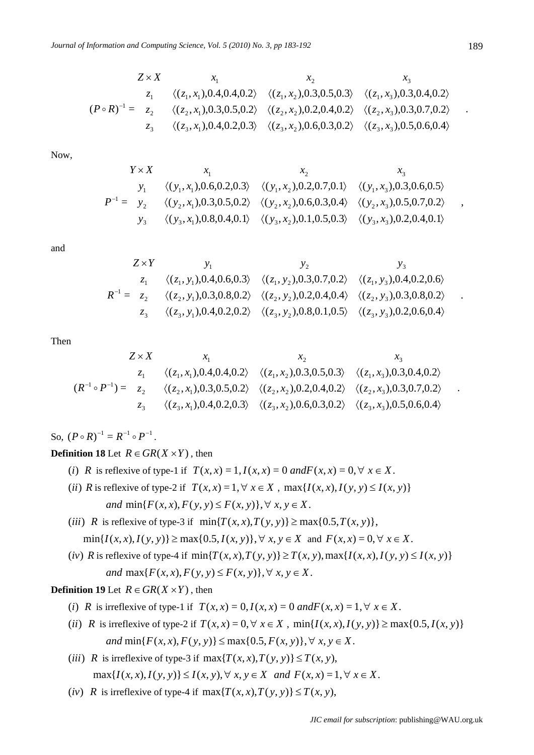$$
Z \times X \qquad x_1 \qquad x_2 \qquad x_3
$$
  
\n
$$
z_1 \qquad \langle (z_1, x_1), 0.4, 0.4, 0.2 \rangle \qquad \langle (z_1, x_2), 0.3, 0.5, 0.3 \rangle \qquad \langle (z_1, x_3), 0.3, 0.4, 0.2 \rangle
$$
  
\n
$$
(P \circ R)^{-1} = z_2 \qquad \langle (z_2, x_1), 0.3, 0.5, 0.2 \rangle \qquad \langle (z_2, x_2), 0.2, 0.4, 0.2 \rangle \qquad \langle (z_2, x_3), 0.3, 0.7, 0.2 \rangle
$$
  
\n
$$
z_3 \qquad \langle (z_3, x_1), 0.4, 0.2, 0.3 \rangle \qquad \langle (z_3, x_2), 0.6, 0.3, 0.2 \rangle \qquad \langle (z_3, x_3), 0.5, 0.6, 0.4 \rangle
$$

Now,

$$
Y \times X \qquad x_1 \qquad x_2 \qquad x_3
$$
  
\n
$$
y_1 \qquad \langle (y_1, x_1), 0.6, 0.2, 0.3 \rangle \qquad \langle (y_1, x_2), 0.2, 0.7, 0.1 \rangle \qquad \langle (y_1, x_3), 0.3, 0.6, 0.5 \rangle
$$
  
\n
$$
P^{-1} = y_2 \qquad \langle (y_2, x_1), 0.3, 0.5, 0.2 \rangle \qquad \langle (y_2, x_2), 0.6, 0.3, 0.4 \rangle \qquad \langle (y_2, x_3), 0.5, 0.7, 0.2 \rangle
$$
  
\n
$$
y_3 \qquad \langle (y_3, x_1), 0.8, 0.4, 0.1 \rangle \qquad \langle (y_3, x_2), 0.1, 0.5, 0.3 \rangle \qquad \langle (y_3, x_3), 0.2, 0.4, 0.1 \rangle
$$

and

$$
Z \times Y
$$
  
\n
$$
Z_1
$$
\n
$$
y_1
$$
\n
$$
y_2
$$
\n
$$
y_3
$$
\n
$$
z_1
$$
\n
$$
\langle (z_1, y_1), 0.4, 0.6, 0.3 \rangle
$$
\n
$$
\langle (z_1, y_2), 0.3, 0.7, 0.2 \rangle
$$
\n
$$
\langle (z_1, y_3), 0.4, 0.2, 0.6 \rangle
$$
\n
$$
R^{-1} = z_2
$$
\n
$$
\langle (z_2, y_1), 0.3, 0.8, 0.2 \rangle
$$
\n
$$
\langle (z_2, y_2), 0.2, 0.4, 0.4 \rangle
$$
\n
$$
\langle (z_2, y_3), 0.3, 0.8, 0.2 \rangle
$$
\n
$$
z_3
$$
\n
$$
\langle (z_3, y_1), 0.4, 0.2, 0.2 \rangle
$$
\n
$$
\langle (z_3, y_2), 0.8, 0.1, 0.5 \rangle
$$
\n
$$
\langle (z_3, y_3), 0.2, 0.6, 0.4 \rangle
$$

Then

$$
Z \times X \qquad x_1 \qquad x_2 \qquad x_3
$$
  
\n
$$
z_1 \qquad \langle (z_1, x_1), 0.4, 0.4, 0.2 \rangle \qquad \langle (z_1, x_2), 0.3, 0.5, 0.3 \rangle \qquad \langle (z_1, x_3), 0.3, 0.4, 0.2 \rangle
$$
  
\n
$$
(R^{-1} \circ P^{-1}) = z_2 \qquad \langle (z_2, x_1), 0.3, 0.5, 0.2 \rangle \qquad \langle (z_2, x_2), 0.2, 0.4, 0.2 \rangle \qquad \langle (z_2, x_3), 0.3, 0.7, 0.2 \rangle
$$
  
\n
$$
z_3 \qquad \langle (z_3, x_1), 0.4, 0.2, 0.3 \rangle \qquad \langle (z_3, x_2), 0.6, 0.3, 0.2 \rangle \qquad \langle (z_3, x_3), 0.5, 0.6, 0.4 \rangle
$$

So,  $(P \circ R)^{-1} = R^{-1} \circ P^{-1}$ .

#### **Definition 18** Let  $R \in \text{GR}(X \times Y)$ , then

- (*i*) *R* is reflexive of type-1 if  $T(x, x) = 1, I(x, x) = 0$  and  $F(x, x) = 0, \forall x \in X$ .
- (*ii*) *R* is reflexive of type-2 if  $T(x, x) = 1, \forall x \in X$ ,  $\max\{I(x, x), I(y, y) \le I(x, y)\}$ *and*  $\min\{F(x, x), F(y, y) \leq F(x, y)\}, \forall x, y \in X$ .
- (*iii*) *R* is reflexive of type-3 if  $min{T(x, x), T(y, y)} \ge max{0.5, T(x, y)}$ ,  $\min\{I(x, x), I(y, y)\} \ge \max\{0.5, I(x, y)\}, \forall x, y \in X \text{ and } F(x, x) = 0, \forall x \in X.$
- (iv) R is reflexive of type-4 if  $min\{T(x, x), T(y, y)\}\geq T(x, y)$ ,  $max\{I(x, x), I(y, y)\leq I(x, y)\}$ *and*  $\max\{F(x, x), F(y, y) \leq F(x, y)\}, \forall x, y \in X$ .

**Definition 19** Let  $R \in \text{GR}(X \times Y)$ , then

- (*i*) *R* is irreflexive of type-1 if  $T(x, x) = 0, I(x, x) = 0$  and  $F(x, x) = 1, \forall x \in X$ .
- (*ii*) *R* is irreflexive of type-2 if  $T(x, x) = 0, \forall x \in X$ ,  $\min\{I(x, x), I(y, y)\} \ge \max\{0.5, I(x, y)\}$ *and*  $\min\{F(x, x), F(y, y)\} \le \max\{0.5, F(x, y)\}, \forall x, y \in X$ .
- (*iii*) *R* is irreflexive of type-3 if  $\max\{T(x, x), T(y, y)\} \leq T(x, y)$ ,  $\max\{I(x, x), I(y, y)\} \le I(x, y), \forall x, y \in X \text{ and } F(x, x) = 1, \forall x \in X.$
- (*iv*) *R* is irreflexive of type-4 if  $\max\{T(x, x), T(y, y)\} \leq T(x, y)$ ,

.

,

.

.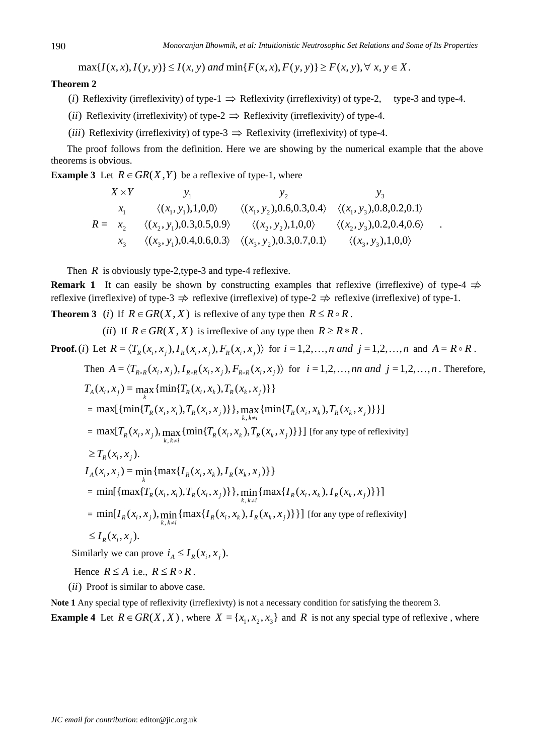.

 $\max\{I(x, x), I(y, y)\}\leq I(x, y)$  and  $\min\{F(x, x), F(y, y)\}\geq F(x, y), \forall x, y \in X$ .

#### **Theorem 2**

- (*i*) Reflexivity (irreflexivity) of type-1  $\Rightarrow$  Reflexivity (irreflexivity) of type-2, type-3 and type-4.
- (*ii*) Reflexivity (irreflexivity) of type-2  $\Rightarrow$  Reflexivity (irreflexivity) of type-4.
- (*iii*) Reflexivity (irreflexivity) of type-3  $\Rightarrow$  Reflexivity (irreflexivity) of type-4.

The proof follows from the definition. Here we are showing by the numerical example that the above theorems is obvious.

**Example 3** Let  $R \in \text{GR}(X, Y)$  be a reflexive of type-1, where

$$
X \times Y \qquad y_1 \qquad y_2 \qquad y_3
$$
  
\n
$$
x_1 \qquad \langle (x_1, y_1), 1, 0, 0 \rangle \qquad \langle (x_1, y_2), 0.6, 0.3, 0.4 \rangle \qquad \langle (x_1, y_3), 0.8, 0.2, 0.1 \rangle
$$
  
\n
$$
R = x_2 \qquad \langle (x_2, y_1), 0.3, 0.5, 0.9 \rangle \qquad \langle (x_2, y_2), 1, 0, 0 \rangle \qquad \langle (x_2, y_3), 0.2, 0.4, 0.6 \rangle
$$
  
\n
$$
x_3 \qquad \langle (x_3, y_1), 0.4, 0.6, 0.3 \rangle \qquad \langle (x_3, y_2), 0.3, 0.7, 0.1 \rangle \qquad \langle (x_3, y_3), 1, 0, 0 \rangle
$$

Then  $R$  is obviously type-2, type-3 and type-4 reflexive.

**Remark 1** It can easily be shown by constructing examples that reflexive (irreflexive) of type-4  $\Rightarrow$ reflexive (irreflexive) of type-3  $\Rightarrow$  reflexive (irreflexive) of type-2  $\Rightarrow$  reflexive (irreflexive) of type-1.

**Theorem 3** (*i*) If  $R \in \text{GR}(X, X)$  is reflexive of any type then  $R \leq R \circ R$ .

(*ii*) If  $R \in \text{GR}(X, X)$  is irreflexive of any type then  $R \geq R \cdot R$ .

**Proof.** (i) Let  $R = \langle T_R(x_i, x_i), I_R(x_i, x_i), F_R(x_i, x_i) \rangle$  for  $i = 1, 2, ..., n$  and  $j = 1, 2, ..., n$  and  $A = R \circ R$ .

Then 
$$
A = \langle T_{R \circ R}(x_i, x_j), I_{R \circ R}(x_i, x_j), F_{R \circ R}(x_i, x_j) \rangle
$$
 for  $i = 1, 2, \ldots, m$  and  $j = 1, 2, \ldots, n$ . Therefore,

$$
T_A(x_i, x_j) = \max_{k} \{ \min\{T_R(x_i, x_k), T_R(x_k, x_j)\} \}
$$
  
\n
$$
= \max[\{ \min\{T_R(x_i, x_i), T_R(x_i, x_j)\} \}, \max_{k, k \neq i} \{ \min\{T_R(x_i, x_k), T_R(x_k, x_j)\} \}]
$$
  
\n
$$
= \max[T_R(x_i, x_j), \max_{k, k \neq i} \{ \min\{T_R(x_i, x_k), T_R(x_k, x_j)\} \}] \text{ [for any type of reflexivity]}
$$
  
\n
$$
\geq T_R(x_i, x_j).
$$
  
\n
$$
I_A(x_i, x_j) = \min_{k} \{ \max\{I_R(x_i, x_k), I_R(x_k, x_j)\} \}
$$
  
\n
$$
= \min[\{ \max\{T_R(x_i, x_i), T_R(x_i, x_j)\} \}, \min_{k, k \neq i} \{ \max\{I_R(x_i, x_k), I_R(x_k, x_j)\} \}]
$$
  
\n
$$
= \min[I_R(x_i, x_j), \min_{k, k \neq i} \{ \max\{I_R(x_i, x_k), I_R(x_k, x_j)\} \}] \text{ [for any type of reflexivity]}
$$
  
\n
$$
\leq I_R(x_i, x_j).
$$

Similarly we can prove  $i_A \leq I_R(x_i, x_i)$ .

Hence  $R \leq A$  i.e.,  $R \leq R \circ R$ .

(*ii*) Proof is similar to above case.

**Note 1** Any special type of reflexivity (irreflexivty) is not a necessary condition for satisfying the theorem 3*.* 

**Example 4** Let  $R \in \text{GR}(X, X)$ , where  $X = \{x_1, x_2, x_3\}$  and *R* is not any special type of reflexive, where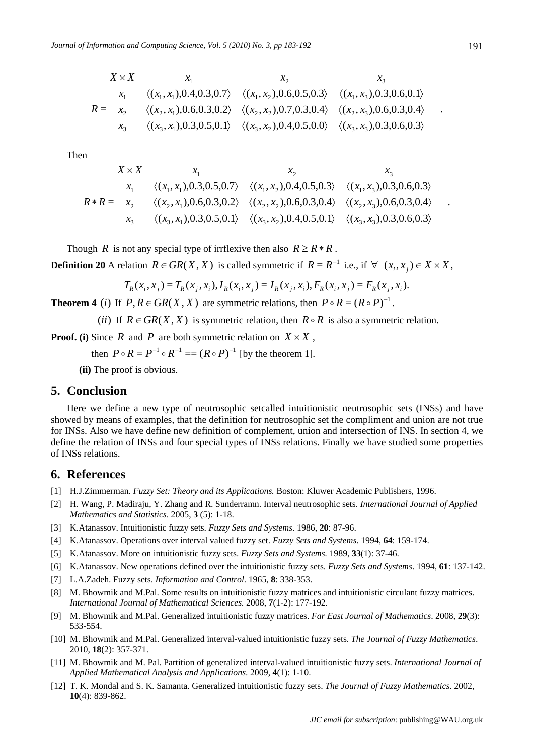$$
X \times X \qquad x_1 \qquad x_2 \qquad x_3
$$
  
\n
$$
x_1 \qquad \langle (x_1, x_1), 0.4, 0.3, 0.7 \rangle \qquad \langle (x_1, x_2), 0.6, 0.5, 0.3 \rangle \qquad \langle (x_1, x_3), 0.3, 0.6, 0.1 \rangle
$$
  
\n
$$
R = x_2 \qquad \langle (x_2, x_1), 0.6, 0.3, 0.2 \rangle \qquad \langle (x_2, x_2), 0.7, 0.3, 0.4 \rangle \qquad \langle (x_2, x_3), 0.6, 0.3, 0.4 \rangle
$$
  
\n
$$
x_3 \qquad \langle (x_3, x_1), 0.3, 0.5, 0.1 \rangle \qquad \langle (x_3, x_2), 0.4, 0.5, 0.0 \rangle \qquad \langle (x_3, x_3), 0.3, 0.6, 0.3 \rangle
$$

Then

$$
X \times X \qquad x_1 \qquad x_2 \qquad x_3
$$
  
\n
$$
x_1 \qquad \langle (x_1, x_1), 0.3, 0.5, 0.7 \rangle \qquad \langle (x_1, x_2), 0.4, 0.5, 0.3 \rangle \qquad \langle (x_1, x_3), 0.3, 0.6, 0.3 \rangle
$$
  
\n
$$
R * R = x_2 \qquad \langle (x_2, x_1), 0.6, 0.3, 0.2 \rangle \qquad \langle (x_2, x_2), 0.6, 0.3, 0.4 \rangle \qquad \langle (x_2, x_3), 0.6, 0.3, 0.4 \rangle
$$
  
\n
$$
x_3 \qquad \langle (x_3, x_1), 0.3, 0.5, 0.1 \rangle \qquad \langle (x_3, x_2), 0.4, 0.5, 0.1 \rangle \qquad \langle (x_3, x_3), 0.3, 0.6, 0.3 \rangle
$$

Though *R* is not any special type of irrflexive then also  $R \geq R \cdot R$ .

**Definition 20** A relation  $R \in \text{GR}(X, X)$  is called symmetric if  $R = R^{-1}$  i.e., if  $\forall (x_i, x_j) \in X \times X$ ,

$$
T_R(x_i, x_j) = T_R(x_j, x_i), I_R(x_i, x_j) = I_R(x_j, x_i), F_R(x_i, x_j) = F_R(x_j, x_i).
$$

**Theorem 4** (*i*) If  $P, R \in \text{GR}(X, X)$  are symmetric relations, then  $P \circ R = (R \circ P)^{-1}$ .

(*ii*) If  $R \in \text{GR}(X, X)$  is symmetric relation, then  $R \circ R$  is also a symmetric relation.

**Proof.** (i) Since *R* and *P* are both symmetric relation on  $X \times X$ ,

then  $P \circ R = P^{-1} \circ R^{-1} = (R \circ P)^{-1}$  [by the theorem 1].

 **(ii)** The proof is obvious.

## **5. Conclusion**

Here we define a new type of neutrosophic setcalled intuitionistic neutrosophic sets (INSs) and have showed by means of examples, that the definition for neutrosophic set the compliment and union are not true for INSs. Also we have define new definition of complement, union and intersection of INS. In section 4, we define the relation of INSs and four special types of INSs relations. Finally we have studied some properties of INSs relations.

#### **6. References**

- [1] H.J.Zimmerman. *Fuzzy Set: Theory and its Applications.* Boston: Kluwer Academic Publishers, 1996.
- [2] H. Wang, P. Madiraju, Y. Zhang and R. Sunderramn. Interval neutrosophic sets. *International Journal of Applied Mathematics and Statistics*. 2005, **3** (5): 1-18.
- [3] K.Atanassov. Intuitionistic fuzzy sets. *Fuzzy Sets and Systems.* 1986, **20**: 87-96.
- [4] K.Atanassov. Operations over interval valued fuzzy set. *Fuzzy Sets and Systems*. 1994, **64**: 159-174.
- [5] K.Atanassov. More on intuitionistic fuzzy sets. *Fuzzy Sets and Systems.* 1989, **33**(1): 37-46.
- [6] K.Atanassov. New operations defined over the intuitionistic fuzzy sets. *Fuzzy Sets and Systems*. 1994, **61**: 137-142.
- [7] L.A.Zadeh. Fuzzy sets. *Information and Control*. 1965, **8**: 338-353.
- [8] M. Bhowmik and M.Pal. Some results on intuitionistic fuzzy matrices and intuitionistic circulant fuzzy matrices. *International Journal of Mathematical Sciences.* 2008, **7**(1-2): 177-192.
- [9] M. Bhowmik and M.Pal. Generalized intuitionistic fuzzy matrices. *Far East Journal of Mathematics*. 2008, **29**(3): 533-554.
- [10] M. Bhowmik and M.Pal. Generalized interval-valued intuitionistic fuzzy sets. *The Journal of Fuzzy Mathematics*. 2010, **18**(2): 357-371.
- [11] M. Bhowmik and M. Pal. Partition of generalized interval-valued intuitionistic fuzzy sets. *International Journal of Applied Mathematical Analysis and Applications*. 2009, **4**(1): 1-10.
- [12] T. K. Mondal and S. K. Samanta. Generalized intuitionistic fuzzy sets. *The Journal of Fuzzy Mathematics*. 2002, **10**(4): 839-862.

.

.